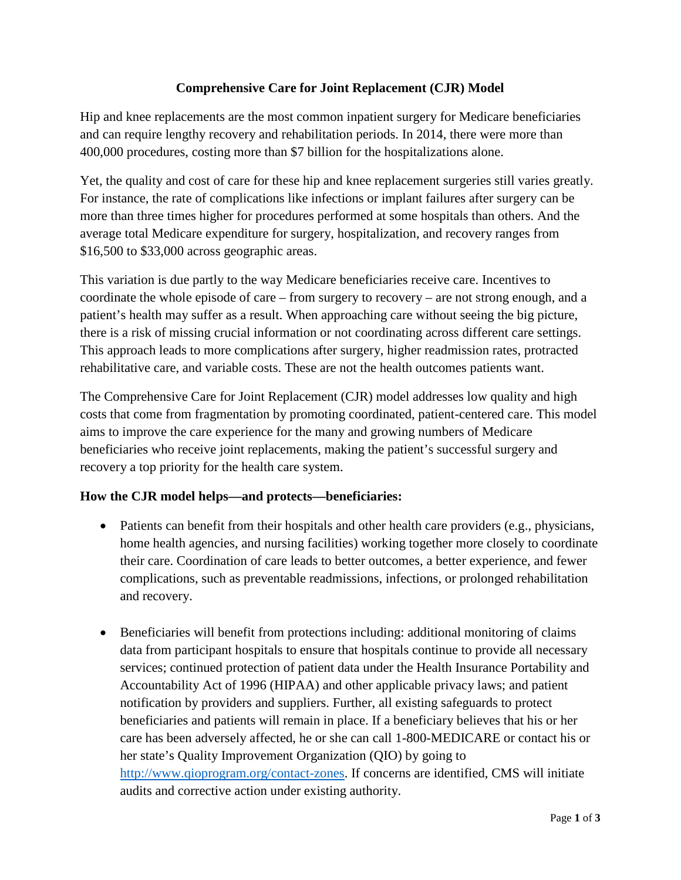## **Comprehensive Care for Joint Replacement (CJR) Model**

Hip and knee replacements are the most common inpatient surgery for Medicare beneficiaries and can require lengthy recovery and rehabilitation periods. In 2014, there were more than 400,000 procedures, costing more than \$7 billion for the hospitalizations alone.

Yet, the quality and cost of care for these hip and knee replacement surgeries still varies greatly. For instance, the rate of complications like infections or implant failures after surgery can be more than three times higher for procedures performed at some hospitals than others. And the average total Medicare expenditure for surgery, hospitalization, and recovery ranges from \$16,500 to \$33,000 across geographic areas.

This variation is due partly to the way Medicare beneficiaries receive care. Incentives to coordinate the whole episode of care – from surgery to recovery – are not strong enough, and a patient's health may suffer as a result. When approaching care without seeing the big picture, there is a risk of missing crucial information or not coordinating across different care settings. This approach leads to more complications after surgery, higher readmission rates, protracted rehabilitative care, and variable costs. These are not the health outcomes patients want.

The Comprehensive Care for Joint Replacement (CJR) model addresses low quality and high costs that come from fragmentation by promoting coordinated, patient-centered care. This model aims to improve the care experience for the many and growing numbers of Medicare beneficiaries who receive joint replacements, making the patient's successful surgery and recovery a top priority for the health care system.

## **How the CJR model helps—and protects—beneficiaries:**

- Patients can benefit from their hospitals and other health care providers (e.g., physicians, home health agencies, and nursing facilities) working together more closely to coordinate their care. Coordination of care leads to better outcomes, a better experience, and fewer complications, such as preventable readmissions, infections, or prolonged rehabilitation and recovery.
- Beneficiaries will benefit from protections including: additional monitoring of claims data from participant hospitals to ensure that hospitals continue to provide all necessary services; continued protection of patient data under the Health Insurance Portability and Accountability Act of 1996 (HIPAA) and other applicable privacy laws; and patient notification by providers and suppliers. Further, all existing safeguards to protect beneficiaries and patients will remain in place. If a beneficiary believes that his or her care has been adversely affected, he or she can call 1-800-MEDICARE or contact his or her state's Quality Improvement Organization (QIO) by going to [http://www.qioprogram.org/contact-zones.](http://www.qioprogram.org/contact-zones) If concerns are identified, CMS will initiate audits and corrective action under existing authority.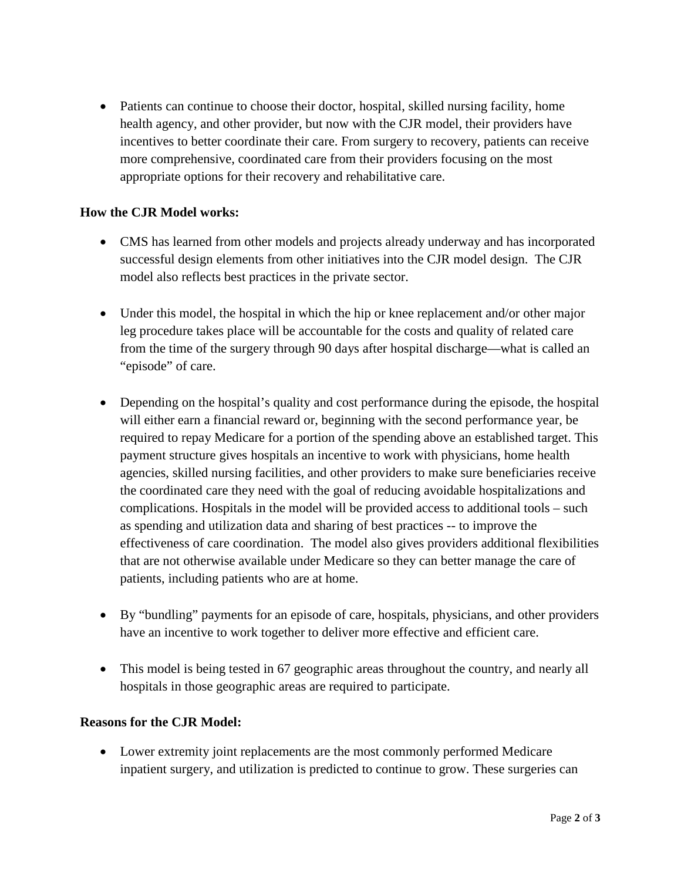• Patients can continue to choose their doctor, hospital, skilled nursing facility, home health agency, and other provider, but now with the CJR model, their providers have incentives to better coordinate their care. From surgery to recovery, patients can receive more comprehensive, coordinated care from their providers focusing on the most appropriate options for their recovery and rehabilitative care.

## **How the CJR Model works:**

- CMS has learned from other models and projects already underway and has incorporated successful design elements from other initiatives into the CJR model design. The CJR model also reflects best practices in the private sector.
- Under this model, the hospital in which the hip or knee replacement and/or other major leg procedure takes place will be accountable for the costs and quality of related care from the time of the surgery through 90 days after hospital discharge—what is called an "episode" of care.
- Depending on the hospital's quality and cost performance during the episode, the hospital will either earn a financial reward or, beginning with the second performance year, be required to repay Medicare for a portion of the spending above an established target. This payment structure gives hospitals an incentive to work with physicians, home health agencies, skilled nursing facilities, and other providers to make sure beneficiaries receive the coordinated care they need with the goal of reducing avoidable hospitalizations and complications. Hospitals in the model will be provided access to additional tools – such as spending and utilization data and sharing of best practices -- to improve the effectiveness of care coordination. The model also gives providers additional flexibilities that are not otherwise available under Medicare so they can better manage the care of patients, including patients who are at home.
- By "bundling" payments for an episode of care, hospitals, physicians, and other providers have an incentive to work together to deliver more effective and efficient care.
- This model is being tested in 67 geographic areas throughout the country, and nearly all hospitals in those geographic areas are required to participate.

## **Reasons for the CJR Model:**

• Lower extremity joint replacements are the most commonly performed Medicare inpatient surgery, and utilization is predicted to continue to grow. These surgeries can